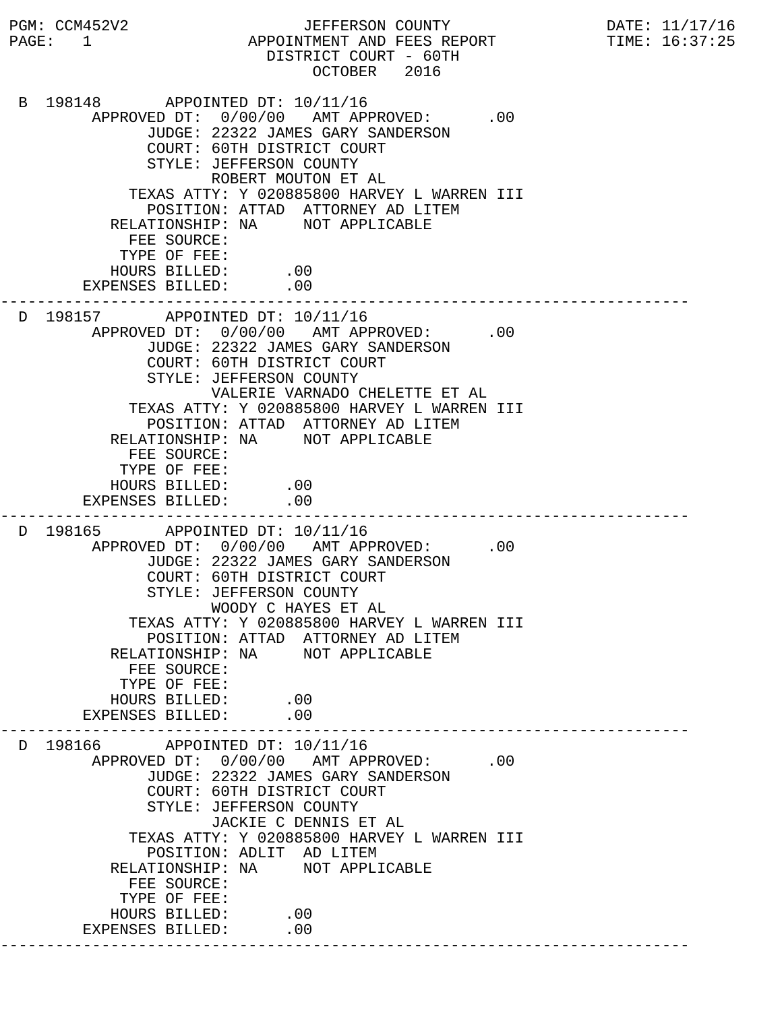PGM: CCM452V2 JEFFERSON COUNTY DATE: 11/17/16 PAGE: 1 APPOINTMENT AND FEES REPORT TIME: 16:37:25 DISTRICT COURT - 60TH OCTOBER 2016 B 198148 APPOINTED DT: 10/11/16 APPROVED DT:  $0/00/00$  AMT APPROVED: .00 JUDGE: 22322 JAMES GARY SANDERSON COURT: 60TH DISTRICT COURT STYLE: JEFFERSON COUNTY ROBERT MOUTON ET AL TEXAS ATTY: Y 020885800 HARVEY L WARREN III POSITION: ATTAD ATTORNEY AD LITEM RELATIONSHIP: NA NOT APPLICABLE FEE SOURCE: TYPE OF FEE: HOURS BILLED: .00 EXPENSES BILLED: .00 --------------------------------------------------------------------------- D 198157 APPOINTED DT: 10/11/16 APPROVED DT:  $0/00/00$  AMT APPROVED: .00 JUDGE: 22322 JAMES GARY SANDERSON COURT: 60TH DISTRICT COURT STYLE: JEFFERSON COUNTY VALERIE VARNADO CHELETTE ET AL TEXAS ATTY: Y 020885800 HARVEY L WARREN III POSITION: ATTAD ATTORNEY AD LITEM RELATIONSHIP: NA NOT APPLICABLE FEE SOURCE: TYPE OF FEE: HOURS BILLED: .00 EXPENSES BILLED: .00 --------------------------------------------------------------------------- D 198165 APPOINTED DT: 10/11/16 APPROVED DT:  $0/00/00$  AMT APPROVED: .00 JUDGE: 22322 JAMES GARY SANDERSON COURT: 60TH DISTRICT COURT STYLE: JEFFERSON COUNTY WOODY C HAYES ET AL TEXAS ATTY: Y 020885800 HARVEY L WARREN III POSITION: ATTAD ATTORNEY AD LITEM RELATIONSHIP: NA NOT APPLICABLE FEE SOURCE: TYPE OF FEE: HOURS BILLED: .00<br>ENSES BILLED: .00 EXPENSES BILLED: --------------------------------------------------------------------------- D 198166 APPOINTED DT: 10/11/16 APPROVED DT:  $0/00/00$  AMT APPROVED: .00 JUDGE: 22322 JAMES GARY SANDERSON COURT: 60TH DISTRICT COURT STYLE: JEFFERSON COUNTY JACKIE C DENNIS ET AL TEXAS ATTY: Y 020885800 HARVEY L WARREN III POSITION: ADLIT AD LITEM RELATIONSHIP: NA NOT APPLICABLE FEE SOURCE: TYPE OF FEE: HOURS BILLED: .00 EXPENSES BILLED: .00 ---------------------------------------------------------------------------